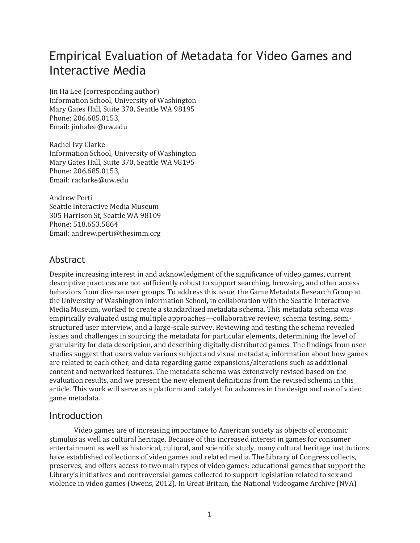# Empirical Evaluation of Metadata for Video Games and Interactive Media

Jin Ha Lee (corresponding author) Information School, University of Washington Mary Gates Hall, Suite 370, Seattle WA 98195 Phone: 206.685.0153, Email: jinhalee@uw.edu

Rachel Ivy Clarke Information School, University of Washington Mary Gates Hall, Suite 370, Seattle WA 98195 Phone: 206.685.0153, Email: raclarke@uw.edu

Andrew Perti Seattle Interactive Media Museum 305 Harrison St, Seattle WA 98109 Phone: 518.653.5864 Email: andrew.perti@thesimm.org

## Abstract

Despite increasing interest in and acknowledgment of the significance of video games, current descriptive practices are not sufficiently robust to support searching, browsing, and other access behaviors from diverse user groups. To address this issue, the Game Metadata Research Group at the University of Washington Information School, in collaboration with the Seattle Interactive Media Museum, worked to create a standardized metadata schema. This metadata schema was empirically evaluated using multiple approaches—collaborative review, schema testing, semistructured user interview, and a large-scale survey. Reviewing and testing the schema revealed issues and challenges in sourcing the metadata for particular elements, determining the level of granularity for data description, and describing digitally distributed games. The findings from user studies suggest that users value various subject and visual metadata, information about how games are related to each other, and data regarding game expansions/alterations such as additional content and networked features. The metadata schema was extensively revised based on the evaluation results, and we present the new element definitions from the revised schema in this article. This work will serve as a platform and catalyst for advances in the design and use of video game metadata.

## Introduction

Video games are of increasing importance to American society as objects of economic stimulus as well as cultural heritage. Because of this increased interest in games for consumer entertainment as well as historical, cultural, and scientific study, many cultural heritage institutions have established collections of video games and related media. The Library of Congress collects, preserves, and offers access to two main types of video games: educational games that support the Library's initiatives and controversial games collected to support legislation related to sex and violence in video games (Owens, 2012). In Great Britain, the National Videogame Archive (NVA)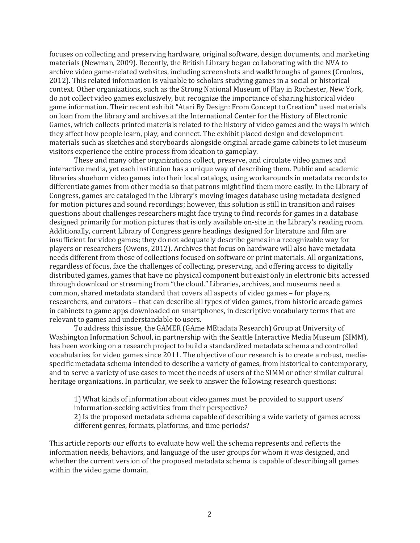focuses on collecting and preserving hardware, original software, design documents, and marketing materials (Newman, 2009). Recently, the British Library began collaborating with the NVA to archive video game-related websites, including screenshots and walkthroughs of games (Crookes, 2012). This related information is valuable to scholars studying games in a social or historical context. Other organizations, such as the Strong National Museum of Play in Rochester, New York, do not collect video games exclusively, but recognize the importance of sharing historical video game information. Their recent exhibit "Atari By Design: From Concept to Creation" used materials on loan from the library and archives at the International Center for the History of Electronic Games, which collects printed materials related to the history of video games and the ways in which they affect how people learn, play, and connect. The exhibit placed design and development materials such as sketches and storyboards alongside original arcade game cabinets to let museum visitors experience the entire process from ideation to gameplay.

These and many other organizations collect, preserve, and circulate video games and interactive media, yet each institution has a unique way of describing them. Public and academic libraries shoehorn video games into their local catalogs, using workarounds in metadata records to differentiate games from other media so that patrons might find them more easily. In the Library of Congress, games are cataloged in the Library's moving images database using metadata designed for motion pictures and sound recordings; however, this solution is still in transition and raises questions about challenges researchers might face trying to find records for games in a database designed primarily for motion pictures that is only available on-site in the Library's reading room. Additionally, current Library of Congress genre headings designed for literature and film are insufficient for video games; they do not adequately describe games in a recognizable way for players or researchers (Owens, 2012). Archives that focus on hardware will also have metadata needs different from those of collections focused on software or print materials. All organizations, regardless of focus, face the challenges of collecting, preserving, and offering access to digitally distributed games, games that have no physical component but exist only in electronic bits accessed through download or streaming from "the cloud." Libraries, archives, and museums need a common, shared metadata standard that covers all aspects of video games – for players, researchers, and curators – that can describe all types of video games, from historic arcade games in cabinets to game apps downloaded on smartphones, in descriptive vocabulary terms that are relevant to games and understandable to users.

To address this issue, the GAMER (GAme MEtadata Research) Group at University of Washington Information School, in partnership with the Seattle Interactive Media Museum (SIMM), has been working on a research project to build a standardized metadata schema and controlled vocabularies for video games since 2011. The objective of our research is to create a robust, mediaspecific metadata schema intended to describe a variety of games, from historical to contemporary, and to serve a variety of use cases to meet the needs of users of the SIMM or other similar cultural heritage organizations. In particular, we seek to answer the following research questions:

1) What kinds of information about video games must be provided to support users' information-seeking activities from their perspective?

2) Is the proposed metadata schema capable of describing a wide variety of games across different genres, formats, platforms, and time periods?

This article reports our efforts to evaluate how well the schema represents and reflects the information needs, behaviors, and language of the user groups for whom it was designed, and whether the current version of the proposed metadata schema is capable of describing all games within the video game domain.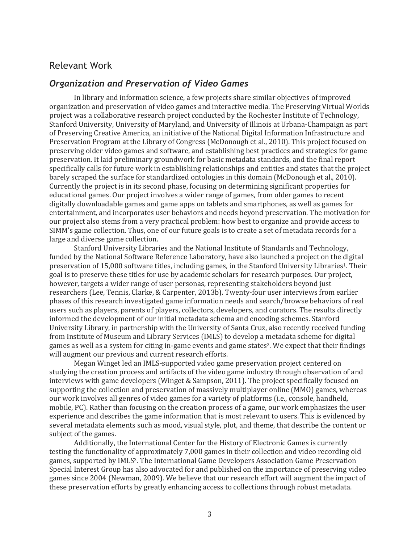#### Relevant Work

#### *Organization and Preservation of Video Games*

In library and information science, a few projects share similar objectives of improved organization and preservation of video games and interactive media. The Preserving Virtual Worlds project was a collaborative research project conducted by the Rochester Institute of Technology, Stanford University, University of Maryland, and University of Illinois at Urbana-Champaign as part of Preserving Creative America, an initiative of the National Digital Information Infrastructure and Preservation Program at the Library of Congress (McDonough et al., 2010). This project focused on preserving older video games and software, and establishing best practices and strategies for game preservation. It laid preliminary groundwork for basic metadata standards, and the final report specifically calls for future work in establishing relationships and entities and states that the project barely scraped the surface for standardized ontologies in this domain (McDonough et al., 2010). Currently the project is in its second phase, focusing on determining significant properties for educational games. Our project involves a wider range of games, from older games to recent digitally downloadable games and game apps on tablets and smartphones, as well as games for entertainment, and incorporates user behaviors and needs beyond preservation. The motivation for our project also stems from a very practical problem: how best to organize and provide access to SIMM's game collection. Thus, one of our future goals is to create a set of metadata records for a large and diverse game collection.

Stanford University Libraries and the National Institute of Standards and Technology, funded by the National Software Reference Laboratory, have also launched a project on the digital preservation of 15,000 software titles, including games, in the Stanford University Libraries1. Their goal is to preserve these titles for use by academic scholars for research purposes. Our project, however, targets a wider range of user personas, representing stakeholders beyond just researchers (Lee, Tennis, Clarke, & Carpenter, 2013b). Twenty-four user interviews from earlier phases of this research investigated game information needs and search/browse behaviors of real users such as players, parents of players, collectors, developers, and curators. The results directly informed the development of our initial metadata schema and encoding schemes. Stanford University Library, in partnership with the University of Santa Cruz, also recently received funding from Institute of Museum and Library Services (IMLS) to develop a metadata scheme for digital games as well as a system for citing in-game events and game states2. We expect that their findings will augment our previous and current research efforts.

Megan Winget led an IMLS-supported video game preservation project centered on studying the creation process and artifacts of the video game industry through observation of and interviews with game developers (Winget & Sampson, 2011). The project specifically focused on supporting the collection and preservation of massively multiplayer online (MMO) games, whereas our work involves all genres of video games for a variety of platforms (i.e., console, handheld, mobile, PC). Rather than focusing on the creation process of a game, our work emphasizes the user experience and describes the game information that is most relevant to users. This is evidenced by several metadata elements such as mood, visual style, plot, and theme, that describe the content or subject of the games.

Additionally, the International Center for the History of Electronic Games is currently testing the functionality of approximately 7,000 games in their collection and video recording old games, supported by IMLS3. The International Game Developers Association Game Preservation Special Interest Group has also advocated for and published on the importance of preserving video games since 2004 (Newman, 2009). We believe that our research effort will augment the impact of these preservation efforts by greatly enhancing access to collections through robust metadata.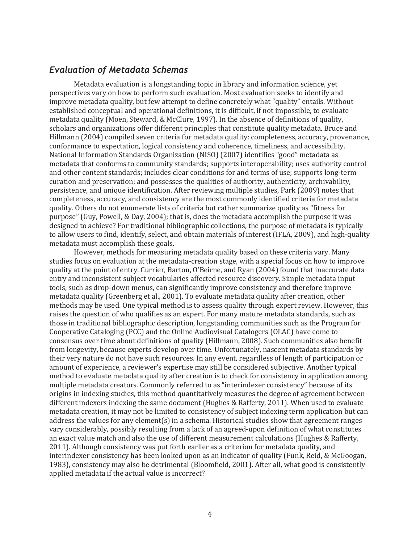#### *Evaluation of Metadata Schemas*

Metadata evaluation is a longstanding topic in library and information science, yet perspectives vary on how to perform such evaluation. Most evaluation seeks to identify and improve metadata quality, but few attempt to define concretely what "quality" entails. Without established conceptual and operational definitions, it is difficult, if not impossible, to evaluate metadata quality (Moen, Steward, & McClure, 1997). In the absence of definitions of quality, scholars and organizations offer different principles that constitute quality metadata. Bruce and Hillmann (2004) compiled seven criteria for metadata quality: completeness, accuracy, provenance, conformance to expectation, logical consistency and coherence, timeliness, and accessibility. National Information Standards Organization (NISO) (2007) identifies "good" metadata as metadata that conforms to community standards; supports interoperability; uses authority control and other content standards; includes clear conditions for and terms of use; supports long-term curation and preservation; and possesses the qualities of authority, authenticity, archivability, persistence, and unique identification. After reviewing multiple studies, Park (2009) notes that completeness, accuracy, and consistency are the most commonly identified criteria for metadata quality. Others do not enumerate lists of criteria but rather summarize quality as "fitness for purpose" (Guy, Powell, & Day, 2004); that is, does the metadata accomplish the purpose it was designed to achieve? For traditional bibliographic collections, the purpose of metadata is typically to allow users to find, identify, select, and obtain materials of interest (IFLA, 2009), and high-quality metadata must accomplish these goals.

However, methods for measuring metadata quality based on these criteria vary. Many studies focus on evaluation at the metadata-creation stage, with a special focus on how to improve quality at the point of entry. Currier, Barton, O'Beirne, and Ryan (2004) found that inaccurate data entry and inconsistent subject vocabularies affected resource discovery. Simple metadata input tools, such as drop-down menus, can significantly improve consistency and therefore improve metadata quality (Greenberg et al., 2001). To evaluate metadata quality after creation, other methods may be used. One typical method is to assess quality through expert review. However, this raises the question of who qualifies as an expert. For many mature metadata standards, such as those in traditional bibliographic description, longstanding communities such as the Program for Cooperative Cataloging (PCC) and the Online Audiovisual Catalogers (OLAC) have come to consensus over time about definitions of quality (Hillmann, 2008). Such communities also benefit from longevity, because experts develop over time. Unfortunately, nascent metadata standards by their very nature do not have such resources. In any event, regardless of length of participation or amount of experience, a reviewer's expertise may still be considered subjective. Another typical method to evaluate metadata quality after creation is to check for consistency in application among multiple metadata creators. Commonly referred to as "interindexer consistency" because of its origins in indexing studies, this method quantitatively measures the degree of agreement between different indexers indexing the same document (Hughes & Rafferty, 2011). When used to evaluate metadata creation, it may not be limited to consistency of subject indexing term application but can address the values for any element(s) in a schema. Historical studies show that agreement ranges vary considerably, possibly resulting from a lack of an agreed-upon definition of what constitutes an exact value match and also the use of different measurement calculations (Hughes & Rafferty, 2011). Although consistency was put forth earlier as a criterion for metadata quality, and interindexer consistency has been looked upon as an indicator of quality (Funk, Reid, & McGoogan, 1983), consistency may also be detrimental (Bloomfield, 2001). After all, what good is consistently applied metadata if the actual value is incorrect?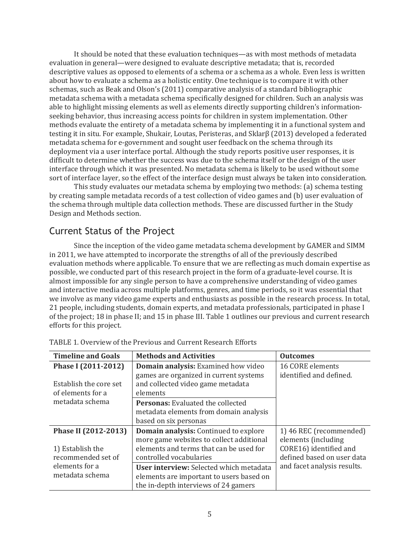It should be noted that these evaluation techniques—as with most methods of metadata evaluation in general—were designed to evaluate descriptive metadata; that is, recorded descriptive values as opposed to elements of a schema or a schema as a whole. Even less is written about how to evaluate a schema as a holistic entity. One technique is to compare it with other schemas, such as Beak and Olson's (2011) comparative analysis of a standard bibliographic metadata schema with a metadata schema specifically designed for children. Such an analysis was able to highlight missing elements as well as elements directly supporting children's informationseeking behavior, thus increasing access points for children in system implementation. Other methods evaluate the entirety of a metadata schema by implementing it in a functional system and testing it in situ. For example, Shukair, Loutas, Peristeras, and Sklarβ (2013) developed a federated metadata schema for e-government and sought user feedback on the schema through its deployment via a user interface portal. Although the study reports positive user responses, it is difficult to determine whether the success was due to the schema itself or the design of the user interface through which it was presented. No metadata schema is likely to be used without some sort of interface layer, so the effect of the interface design must always be taken into consideration.

This study evaluates our metadata schema by employing two methods: (a) schema testing by creating sample metadata records of a test collection of video games and (b) user evaluation of the schema through multiple data collection methods. These are discussed further in the Study Design and Methods section.

## Current Status of the Project

Since the inception of the video game metadata schema development by GAMER and SIMM in 2011, we have attempted to incorporate the strengths of all of the previously described evaluation methods where applicable. To ensure that we are reflecting as much domain expertise as possible, we conducted part of this research project in the form of a graduate-level course. It is almost impossible for any single person to have a comprehensive understanding of video games and interactive media across multiple platforms, genres, and time periods, so it was essential that we involve as many video game experts and enthusiasts as possible in the research process. In total, 21 people, including students, domain experts, and metadata professionals, participated in phase I of the project; 18 in phase II; and 15 in phase III. Table 1 outlines our previous and current research efforts for this project.

| <b>Timeline and Goals</b>                                      | <b>Methods and Activities</b>                                                                                                                           | <b>Outcomes</b>                                                                                        |  |
|----------------------------------------------------------------|---------------------------------------------------------------------------------------------------------------------------------------------------------|--------------------------------------------------------------------------------------------------------|--|
| Phase I (2011-2012)                                            | Domain analysis: Examined how video                                                                                                                     | 16 CORE elements                                                                                       |  |
| Establish the core set<br>of elements for a                    | games are organized in current systems<br>and collected video game metadata<br>elements                                                                 | identified and defined.                                                                                |  |
| metadata schema                                                | <b>Personas:</b> Evaluated the collected<br>metadata elements from domain analysis<br>based on six personas                                             |                                                                                                        |  |
| Phase II (2012-2013)<br>1) Establish the<br>recommended set of | Domain analysis: Continued to explore<br>more game websites to collect additional<br>elements and terms that can be used for<br>controlled vocabularies | 1) 46 REC (recommended)<br>elements (including<br>CORE16) identified and<br>defined based on user data |  |
| elements for a<br>metadata schema                              | User interview: Selected which metadata<br>elements are important to users based on<br>the in-depth interviews of 24 gamers                             | and facet analysis results.                                                                            |  |

| TABLE 1. Overview of the Previous and Current Research Efforts |  |  |  |  |  |  |  |
|----------------------------------------------------------------|--|--|--|--|--|--|--|
|----------------------------------------------------------------|--|--|--|--|--|--|--|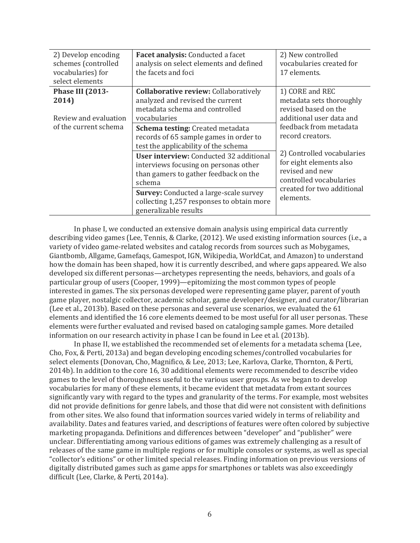| 2) Develop encoding<br>schemes (controlled<br>vocabularies) for<br>select elements | Facet analysis: Conducted a facet<br>analysis on select elements and defined<br>the facets and foci                                        | 2) New controlled<br>vocabularies created for<br>17 elements.                                       |  |
|------------------------------------------------------------------------------------|--------------------------------------------------------------------------------------------------------------------------------------------|-----------------------------------------------------------------------------------------------------|--|
| Phase III (2013-<br>2014)<br>Review and evaluation                                 | <b>Collaborative review: Collaboratively</b><br>analyzed and revised the current<br>metadata schema and controlled<br>vocabularies         | 1) CORE and REC<br>metadata sets thoroughly<br>revised based on the<br>additional user data and     |  |
| of the current schema                                                              | Schema testing: Created metadata<br>records of 65 sample games in order to<br>test the applicability of the schema                         | feedback from metadata<br>record creators.                                                          |  |
|                                                                                    | <b>User interview:</b> Conducted 32 additional<br>interviews focusing on personas other<br>than gamers to gather feedback on the<br>schema | 2) Controlled vocabularies<br>for eight elements also<br>revised and new<br>controlled vocabularies |  |
|                                                                                    | <b>Survey:</b> Conducted a large-scale survey<br>collecting 1,257 responses to obtain more<br>generalizable results                        | created for two additional<br>elements.                                                             |  |

In phase I, we conducted an extensive domain analysis using empirical data currently describing video games (Lee, Tennis, & Clarke, (2012). We used existing information sources (i.e., a variety of video game-related websites and catalog records from sources such as Mobygames, Giantbomb, Allgame, Gamefaqs, Gamespot, IGN, Wikipedia, WorldCat, and Amazon) to understand how the domain has been shaped, how it is currently described, and where gaps appeared. We also developed six different personas—archetypes representing the needs, behaviors, and goals of a particular group of users (Cooper, 1999)—epitomizing the most common types of people interested in games. The six personas developed were representing game player, parent of youth game player, nostalgic collector, academic scholar, game developer/designer, and curator/librarian (Lee et al., 2013b). Based on these personas and several use scenarios, we evaluated the 61 elements and identified the 16 core elements deemed to be most useful for all user personas. These elements were further evaluated and revised based on cataloging sample games. More detailed information on our research activity in phase I can be found in Lee et al. (2013b).

In phase II, we established the recommended set of elements for a metadata schema (Lee, Cho, Fox, & Perti, 2013a) and began developing encoding schemes/controlled vocabularies for select elements (Donovan, Cho, Magnifico, & Lee, 2013; Lee, Karlova, Clarke, Thornton, & Perti, 2014b). In addition to the core 16, 30 additional elements were recommended to describe video games to the level of thoroughness useful to the various user groups. As we began to develop vocabularies for many of these elements, it became evident that metadata from extant sources significantly vary with regard to the types and granularity of the terms. For example, most websites did not provide definitions for genre labels, and those that did were not consistent with definitions from other sites. We also found that information sources varied widely in terms of reliability and availability. Dates and features varied, and descriptions of features were often colored by subjective marketing propaganda. Definitions and differences between "developer" and "publisher" were unclear. Differentiating among various editions of games was extremely challenging as a result of releases of the same game in multiple regions or for multiple consoles or systems, as well as special "collector's editions" or other limited special releases. Finding information on previous versions of digitally distributed games such as game apps for smartphones or tablets was also exceedingly difficult (Lee, Clarke, & Perti, 2014a).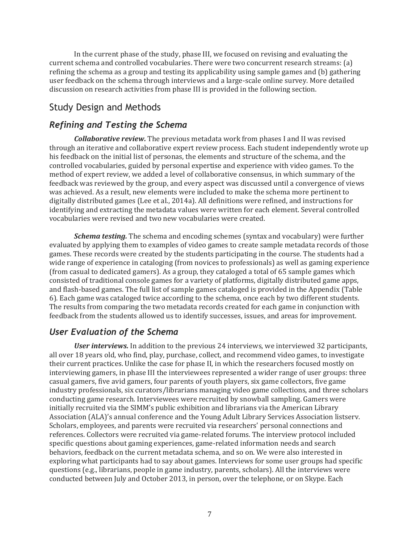In the current phase of the study, phase III, we focused on revising and evaluating the current schema and controlled vocabularies. There were two concurrent research streams: (a) refining the schema as a group and testing its applicability using sample games and (b) gathering user feedback on the schema through interviews and a large-scale online survey. More detailed discussion on research activities from phase III is provided in the following section.

## Study Design and Methods

#### *Refining and Testing the Schema*

*Collaborative review.* The previous metadata work from phases I and II was revised through an iterative and collaborative expert review process. Each student independently wrote up his feedback on the initial list of personas, the elements and structure of the schema, and the controlled vocabularies, guided by personal expertise and experience with video games. To the method of expert review, we added a level of collaborative consensus, in which summary of the feedback was reviewed by the group, and every aspect was discussed until a convergence of views was achieved. As a result, new elements were included to make the schema more pertinent to digitally distributed games (Lee et al., 2014a). All definitions were refined, and instructions for identifying and extracting the metadata values were written for each element. Several controlled vocabularies were revised and two new vocabularies were created.

*Schema testing.* The schema and encoding schemes (syntax and vocabulary) were further evaluated by applying them to examples of video games to create sample metadata records of those games. These records were created by the students participating in the course. The students had a wide range of experience in cataloging (from novices to professionals) as well as gaming experience (from casual to dedicated gamers). As a group, they cataloged a total of 65 sample games which consisted of traditional console games for a variety of platforms, digitally distributed game apps, and flash-based games. The full list of sample games cataloged is provided in the Appendix (Table 6). Each game was cataloged twice according to the schema, once each by two different students. The results from comparing the two metadata records created for each game in conjunction with feedback from the students allowed us to identify successes, issues, and areas for improvement.

#### *User Evaluation of the Schema*

*User interviews.* In addition to the previous 24 interviews, we interviewed 32 participants, all over 18 years old, who find, play, purchase, collect, and recommend video games, to investigate their current practices. Unlike the case for phase II, in which the researchers focused mostly on interviewing gamers, in phase III the interviewees represented a wider range of user groups: three casual gamers, five avid gamers, four parents of youth players, six game collectors, five game industry professionals, six curators/librarians managing video game collections, and three scholars conducting game research. Interviewees were recruited by snowball sampling. Gamers were initially recruited via the SIMM's public exhibition and librarians via the American Library Association (ALA)'s annual conference and the Young Adult Library Services Association listserv. Scholars, employees, and parents were recruited via researchers' personal connections and references. Collectors were recruited via game-related forums. The interview protocol included specific questions about gaming experiences, game-related information needs and search behaviors, feedback on the current metadata schema, and so on. We were also interested in exploring what participants had to say about games. Interviews for some user groups had specific questions (e.g., librarians, people in game industry, parents, scholars). All the interviews were conducted between July and October 2013, in person, over the telephone, or on Skype. Each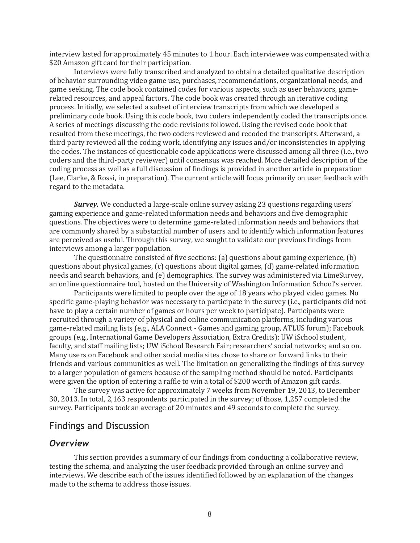interview lasted for approximately 45 minutes to 1 hour. Each interviewee was compensated with a \$20 Amazon gift card for their participation.

Interviews were fully transcribed and analyzed to obtain a detailed qualitative description of behavior surrounding video game use, purchases, recommendations, organizational needs, and game seeking. The code book contained codes for various aspects, such as user behaviors, gamerelated resources, and appeal factors. The code book was created through an iterative coding process. Initially, we selected a subset of interview transcripts from which we developed a preliminary code book. Using this code book, two coders independently coded the transcripts once. A series of meetings discussing the code revisions followed. Using the revised code book that resulted from these meetings, the two coders reviewed and recoded the transcripts. Afterward, a third party reviewed all the coding work, identifying any issues and/or inconsistencies in applying the codes. The instances of questionable code applications were discussed among all three (i.e., two coders and the third-party reviewer) until consensus was reached. More detailed description of the coding process as well as a full discussion of findings is provided in another article in preparation (Lee, Clarke, & Rossi, in preparation). The current article will focus primarily on user feedback with regard to the metadata.

*Survey.* We conducted a large-scale online survey asking 23 questions regarding users' gaming experience and game-related information needs and behaviors and five demographic questions. The objectives were to determine game-related information needs and behaviors that are commonly shared by a substantial number of users and to identify which information features are perceived as useful. Through this survey, we sought to validate our previous findings from interviews among a larger population.

The questionnaire consisted of five sections: (a) questions about gaming experience, (b) questions about physical games, (c) questions about digital games, (d) game-related information needs and search behaviors, and (e) demographics. The survey was administered via LimeSurvey, an online questionnaire tool, hosted on the University of Washington Information School's server.

Participants were limited to people over the age of 18 years who played video games. No specific game-playing behavior was necessary to participate in the survey (i.e., participants did not have to play a certain number of games or hours per week to participate). Participants were recruited through a variety of physical and online communication platforms, including various game-related mailing lists (e.g., ALA Connect - Games and gaming group, ATLUS forum); Facebook groups (e.g., International Game Developers Association, Extra Credits); UW iSchool student, faculty, and staff mailing lists; UW iSchool Research Fair; researchers' social networks; and so on. Many users on Facebook and other social media sites chose to share or forward links to their friends and various communities as well. The limitation on generalizing the findings of this survey to a larger population of gamers because of the sampling method should be noted. Participants were given the option of entering a raffle to win a total of \$200 worth of Amazon gift cards.

The survey was active for approximately 7 weeks from November 19, 2013, to December 30, 2013. In total, 2,163 respondents participated in the survey; of those, 1,257 completed the survey. Participants took an average of 20 minutes and 49 seconds to complete the survey.

#### Findings and Discussion

#### *Overview*

This section provides a summary of our findings from conducting a collaborative review, testing the schema, and analyzing the user feedback provided through an online survey and interviews. We describe each of the issues identified followed by an explanation of the changes made to the schema to address those issues.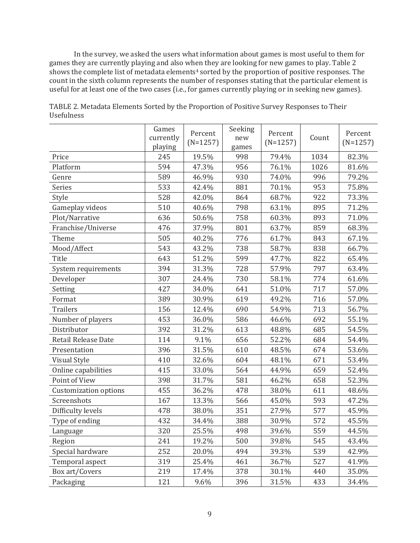In the survey, we asked the users what information about games is most useful to them for games they are currently playing and also when they are looking for new games to play. Table 2 shows the complete list of metadata elements<sup>4</sup> sorted by the proportion of positive responses. The count in the sixth column represents the number of responses stating that the particular element is useful for at least one of the two cases (i.e., for games currently playing or in seeking new games).

|                              | Games<br>currently | Percent<br>$(N=1257)$ | Seeking<br>new | Percent<br>$(N=1257)$ | Count | Percent<br>$(N=1257)$ |
|------------------------------|--------------------|-----------------------|----------------|-----------------------|-------|-----------------------|
|                              | playing            |                       | games          |                       |       |                       |
| Price                        | 245                | 19.5%                 | 998            | 79.4%                 | 1034  | 82.3%                 |
| Platform                     | 594                | 47.3%                 | 956            | 76.1%                 | 1026  | 81.6%                 |
| Genre                        | 589                | 46.9%                 | 930            | 74.0%                 | 996   | 79.2%                 |
| Series                       | 533                | 42.4%                 | 881            | 70.1%                 | 953   | 75.8%                 |
| Style                        | 528                | 42.0%                 | 864            | 68.7%                 | 922   | 73.3%                 |
| Gameplay videos              | 510                | 40.6%                 | 798            | 63.1%                 | 895   | 71.2%                 |
| Plot/Narrative               | 636                | 50.6%                 | 758            | 60.3%                 | 893   | 71.0%                 |
| Franchise/Universe           | 476                | 37.9%                 | 801            | 63.7%                 | 859   | 68.3%                 |
| Theme                        | 505                | 40.2%                 | 776            | 61.7%                 | 843   | 67.1%                 |
| Mood/Affect                  | 543                | 43.2%                 | 738            | 58.7%                 | 838   | 66.7%                 |
| Title                        | 643                | 51.2%                 | 599            | 47.7%                 | 822   | 65.4%                 |
| System requirements          | 394                | 31.3%                 | 728            | 57.9%                 | 797   | 63.4%                 |
| Developer                    | 307                | 24.4%                 | 730            | 58.1%                 | 774   | 61.6%                 |
| Setting                      | 427                | 34.0%                 | 641            | 51.0%                 | 717   | 57.0%                 |
| Format                       | 389                | 30.9%                 | 619            | 49.2%                 | 716   | 57.0%                 |
| <b>Trailers</b>              | 156                | 12.4%                 | 690            | 54.9%                 | 713   | 56.7%                 |
| Number of players            | 453                | 36.0%                 | 586            | 46.6%                 | 692   | 55.1%                 |
| Distributor                  | 392                | 31.2%                 | 613            | 48.8%                 | 685   | 54.5%                 |
| <b>Retail Release Date</b>   | 114                | 9.1%                  | 656            | 52.2%                 | 684   | 54.4%                 |
| Presentation                 | 396                | 31.5%                 | 610            | 48.5%                 | 674   | 53.6%                 |
| Visual Style                 | 410                | 32.6%                 | 604            | 48.1%                 | 671   | 53.4%                 |
| Online capabilities          | 415                | 33.0%                 | 564            | 44.9%                 | 659   | 52.4%                 |
| Point of View                | 398                | 31.7%                 | 581            | 46.2%                 | 658   | 52.3%                 |
| <b>Customization options</b> | 455                | 36.2%                 | 478            | 38.0%                 | 611   | 48.6%                 |
| Screenshots                  | 167                | 13.3%                 | 566            | 45.0%                 | 593   | 47.2%                 |
| Difficulty levels            | 478                | 38.0%                 | 351            | 27.9%                 | 577   | 45.9%                 |
| Type of ending               | 432                | 34.4%                 | 388            | 30.9%                 | 572   | 45.5%                 |
| Language                     | 320                | 25.5%                 | 498            | 39.6%                 | 559   | 44.5%                 |
| Region                       | 241                | 19.2%                 | 500            | 39.8%                 | 545   | 43.4%                 |
| Special hardware             | 252                | 20.0%                 | 494            | 39.3%                 | 539   | 42.9%                 |
| Temporal aspect              | 319                | 25.4%                 | 461            | 36.7%                 | 527   | 41.9%                 |
| Box art/Covers               | 219                | 17.4%                 | 378            | 30.1%                 | 440   | 35.0%                 |
| Packaging                    | 121                | 9.6%                  | 396            | 31.5%                 | 433   | 34.4%                 |

TABLE 2. Metadata Elements Sorted by the Proportion of Positive Survey Responses to Their Usefulness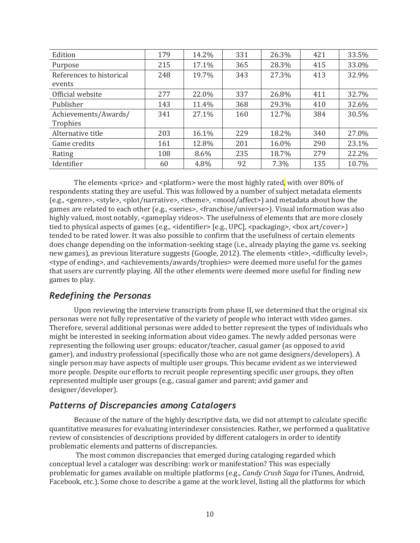| Edition                            | 179 | 14.2% | 331 | 26.3% | 421 | 33.5% |
|------------------------------------|-----|-------|-----|-------|-----|-------|
| Purpose                            | 215 | 17.1% | 365 | 28.3% | 415 | 33.0% |
| References to historical<br>events | 248 | 19.7% | 343 | 27.3% | 413 | 32.9% |
| Official website                   | 277 | 22.0% | 337 | 26.8% | 411 | 32.7% |
| Publisher                          | 143 | 11.4% | 368 | 29.3% | 410 | 32.6% |
| Achievements/Awards/<br>Trophies   | 341 | 27.1% | 160 | 12.7% | 384 | 30.5% |
| Alternative title                  | 203 | 16.1% | 229 | 18.2% | 340 | 27.0% |
| Game credits                       | 161 | 12.8% | 201 | 16.0% | 290 | 23.1% |
| Rating                             | 108 | 8.6%  | 235 | 18.7% | 279 | 22.2% |
| Identifier                         | 60  | 4.8%  | 92  | 7.3%  | 135 | 10.7% |

The elements  $\langle$ price> and  $\langle$ platform> were the most highly rated, with over 80% of respondents stating they are useful. This was followed by a number of subject metadata elements (e.g., <genre>, <style>, <plot/narrative>, <theme>, <mood/affect>) and metadata about how the games are related to each other (e.g., <series>, <franchise/universe>). Visual information was also highly valued, most notably, <gameplay videos>. The usefulness of elements that are more closely tied to physical aspects of games (e.g.,  $\leq$ identifier> [e.g., UPC],  $\leq$ packaging>,  $\leq$ box art/cover>] tended to be rated lower. It was also possible to confirm that the usefulness of certain elements does change depending on the information-seeking stage (i.e., already playing the game vs. seeking new games), as previous literature suggests (Google, 2012). The elements <title>, <difficulty level>, <type of ending>, and <achievements/awards/trophies> were deemed more useful for the games that users are currently playing. All the other elements were deemed more useful for finding new games to play.

#### *Redefining the Personas*

Upon reviewing the interview transcripts from phase II, we determined that the original six personas were not fully representative of the variety of people who interact with video games. Therefore, several additional personas were added to better represent the types of individuals who might be interested in seeking information about video games. The newly added personas were representing the following user groups: educator/teacher, casual gamer (as opposed to avid gamer), and industry professional (specifically those who are not game designers/developers). A single person may have aspects of multiple user groups. This became evident as we interviewed more people. Despite our efforts to recruit people representing specific user groups, they often represented multiple user groups (e.g., casual gamer and parent; avid gamer and designer/developer).

## *Patterns of Discrepancies among Catalogers*

Because of the nature of the highly descriptive data, we did not attempt to calculate specific quantitative measures for evaluating interindexer consistencies. Rather, we performed a qualitative review of consistencies of descriptions provided by different catalogers in order to identify problematic elements and patterns of discrepancies.

The most common discrepancies that emerged during cataloging regarded which conceptual level a cataloger was describing: work or manifestation? This was especially problematic for games available on multiple platforms (e.g., *Candy Crush Saga* for iTunes, Android, Facebook, etc.). Some chose to describe a game at the work level, listing all the platforms for which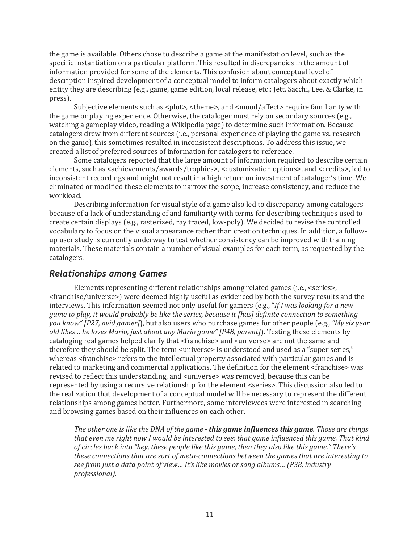the game is available. Others chose to describe a game at the manifestation level, such as the specific instantiation on a particular platform. This resulted in discrepancies in the amount of information provided for some of the elements. This confusion about conceptual level of description inspired development of a conceptual model to inform catalogers about exactly which entity they are describing (e.g., game, game edition, local release, etc.; Jett, Sacchi, Lee, & Clarke, in press).

Subjective elements such as <plot>, <theme>, and <mood/affect> require familiarity with the game or playing experience. Otherwise, the cataloger must rely on secondary sources (e.g., watching a gameplay video, reading a Wikipedia page) to determine such information. Because catalogers drew from different sources (i.e., personal experience of playing the game vs. research on the game), this sometimes resulted in inconsistent descriptions. To address this issue, we created a list of preferred sources of information for catalogers to reference.

Some catalogers reported that the large amount of information required to describe certain elements, such as <achievements/awards/trophies>, <customization options>, and <credits>, led to inconsistent recordings and might not result in a high return on investment of cataloger's time. We eliminated or modified these elements to narrow the scope, increase consistency, and reduce the workload.

Describing information for visual style of a game also led to discrepancy among catalogers because of a lack of understanding of and familiarity with terms for describing techniques used to create certain displays (e.g., rasterized, ray traced, low-poly). We decided to revise the controlled vocabulary to focus on the visual appearance rather than creation techniques. In addition, a followup user study is currently underway to test whether consistency can be improved with training materials. These materials contain a number of visual examples for each term, as requested by the catalogers.

#### *Relationships among Games*

Elements representing different relationships among related games (i.e., <series>, <franchise/universe>) were deemed highly useful as evidenced by both the survey results and the interviews. This information seemed not only useful for gamers (e.g., "*If I was looking for a new game to play, it would probably be like the series, because it [has] definite connection to something you know" [P27, avid gamer]*), but also users who purchase games for other people (e.g., *"My six year old likes… he loves Mario, just about any Mario game" [P48, parent]*). Testing these elements by cataloging real games helped clarify that <franchise> and <universe> are not the same and therefore they should be split. The term <universe> is understood and used as a "super series," whereas <franchise> refers to the intellectual property associated with particular games and is related to marketing and commercial applications. The definition for the element <franchise> was revised to reflect this understanding, and <universe> was removed, because this can be represented by using a recursive relationship for the element <series>. This discussion also led to the realization that development of a conceptual model will be necessary to represent the different relationships among games better. Furthermore, some interviewees were interested in searching and browsing games based on their influences on each other.

*The other one is like the DNA of the game - this game influences this game. Those are things that even me right now I would be interested to see: that game influenced this game. That kind of circles back into "hey, these people like this game, then they also like this game." There's these connections that are sort of meta-connections between the games that are interesting to see from just a data point of view… It's like movies or song albums… (P38, industry professional).*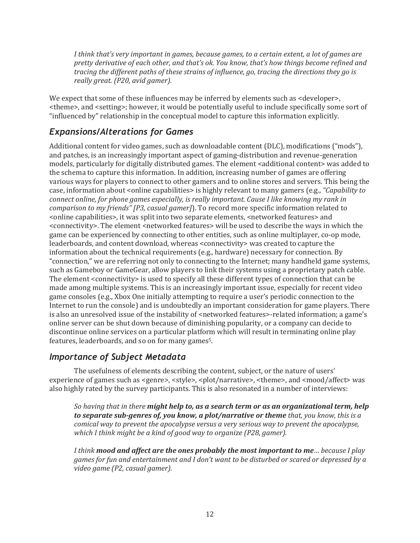*I think that's very important in games, because games, to a certain extent, a lot of games are pretty derivative of each other, and that's ok. You know, that's how things become refined and tracing the different paths of these strains of influence, go, tracing the directions they go is really great. (P20, avid gamer).*

We expect that some of these influences may be inferred by elements such as <developer>, <theme>, and <setting>; however, it would be potentially useful to include specifically some sort of "influenced by" relationship in the conceptual model to capture this information explicitly.

## *Expansions/Alterations for Games*

Additional content for video games, such as downloadable content (DLC), modifications ("mods"), and patches, is an increasingly important aspect of gaming-distribution and revenue-generation models, particularly for digitally distributed games. The element <additional content> was added to the schema to capture this information. In addition, increasing number of games are offering various ways for players to connect to other gamers and to online stores and servers. This being the case, information about <online capabilities> is highly relevant to many gamers (e.g., *"Capability to connect online, for phone games especially, is really important. Cause I like knowing my rank in comparison to my friends" [P3, casual gamer]*). To record more specific information related to <online capabilities>, it was split into two separate elements, <networked features> and <connectivity>. The element <networked features> will be used to describe the ways in which the game can be experienced by connecting to other entities, such as online multiplayer, co-op mode, leaderboards, and content download, whereas <connectivity> was created to capture the information about the technical requirements (e.g., hardware) necessary for connection. By "connection," we are referring not only to connecting to the Internet; many handheld game systems, such as Gameboy or GameGear, allow players to link their systems using a proprietary patch cable. The element <connectivity> is used to specify all these different types of connection that can be made among multiple systems. This is an increasingly important issue, especially for recent video game consoles (e.g., Xbox One initially attempting to require a user's periodic connection to the Internet to run the console) and is undoubtedly an important consideration for game players. There is also an unresolved issue of the instability of <networked features>-related information; a game's online server can be shut down because of diminishing popularity, or a company can decide to discontinue online services on a particular platform which will result in terminating online play features, leaderboards, and so on for many games5.

## *Importance of Subject Metadata*

The usefulness of elements describing the content, subject, or the nature of users' experience of games such as <genre>, <style>, <plot/narrative>, <theme>, and <mood/affect> was also highly rated by the survey participants. This is also resonated in a number of interviews:

*So having that in there might help to, as a search term or as an organizational term, help to separate sub-genres of, you know, a plot/narrative or theme that, you know, this is a comical way to prevent the apocalypse versus a very serious way to prevent the apocalypse, which I think might be a kind of good way to organize (P28, gamer).*

*I think mood and affect are the ones probably the most important to me… because I play games for fun and entertainment and I don't want to be disturbed or scared or depressed by a video game (P2, casual gamer).*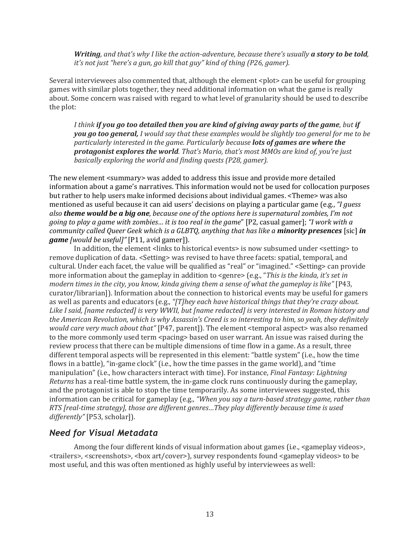*Writing, and that's why I like the action-adventure, because there's usually a story to be told, it's not just "here's a gun, go kill that guy" kind of thing (P26, gamer).*

Several interviewees also commented that, although the element <plot> can be useful for grouping games with similar plots together, they need additional information on what the game is really about. Some concern was raised with regard to what level of granularity should be used to describe the plot:

*I think if you go too detailed then you are kind of giving away parts of the game, but if you go too general, I would say that these examples would be slightly too general for me to be particularly interested in the game. Particularly because lots of games are where the protagonist explores the world. That's Mario, that's most MMOs are kind of, you're just basically exploring the world and finding quests (P28, gamer).*

The new element <summary> was added to address this issue and provide more detailed information about a game's narratives. This information would not be used for collocation purposes but rather to help users make informed decisions about individual games. <Theme> was also mentioned as useful because it can aid users' decisions on playing a particular game (e.g., *"I guess also theme would be a big one, because one of the options here is supernatural zombies, I'm not going to play a game with zombies… it is too real in the game*" [P2, casual gamer]; *"I work with a community called Queer Geek which is a GLBTQ, anything that has like a minority presences* [sic] *in game [would be useful]"* [P11, avid gamer]).

In addition, the element <links to historical events> is now subsumed under <setting> to remove duplication of data. <Setting> was revised to have three facets: spatial, temporal, and cultural. Under each facet, the value will be qualified as "real" or "imagined." <Setting> can provide more information about the gameplay in addition to <genre> (e.g., "*This is the kinda, it's set in modern times in the city, you know, kinda giving them a sense of what the gameplay is like"* [P43, curator/librarian]). Information about the connection to historical events may be useful for gamers as well as parents and educators (e.g., *"[T]hey each have historical things that they're crazy about. Like I said, [name redacted] is very WWII, but [name redacted] is very interested in Roman history and the American Revolution, which is why Assassin's Creed is so interesting to him, so yeah, they definitely would care very much about that"* [P47, parent]). The element <temporal aspect> was also renamed to the more commonly used term <pacing> based on user warrant. An issue was raised during the review process that there can be multiple dimensions of time flow in a game. As a result, three different temporal aspects will be represented in this element: "battle system" (i.e., how the time flows in a battle), "in-game clock" (i.e., how the time passes in the game world), and "time manipulation" (i.e., how characters interact with time). For instance, *Final Fantasy: Lightning Returns* has a real-time battle system, the in-game clock runs continuously during the gameplay, and the protagonist is able to stop the time temporarily. As some interviewees suggested, this information can be critical for gameplay (e.g*., "When you say a turn-based strategy game, rather than RTS [real-time strategy], those are different genres…They play differently because time is used differently"* [P53, scholar]).

#### *Need for Visual Metadata*

Among the four different kinds of visual information about games (i.e., <gameplay videos>, <trailers>, <screenshots>, <box art/cover>), survey respondents found <gameplay videos> to be most useful, and this was often mentioned as highly useful by interviewees as well: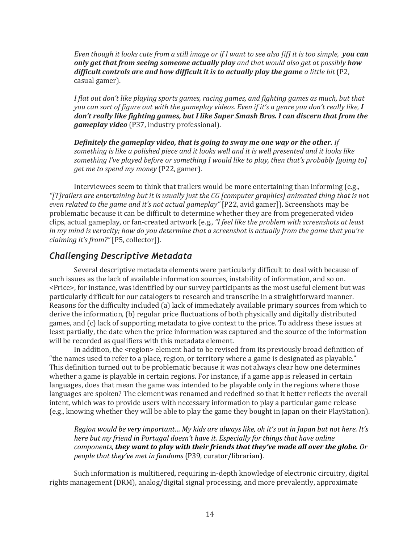*Even though it looks cute from a still image or if I want to see also [if] it is too simple, you can only get that from seeing someone actually play and that would also get at possibly how difficult controls are and how difficult it is to actually play the game a little bit* (P2, casual gamer).

*I flat out don't like playing sports games, racing games, and fighting games as much, but that you can sort of figure out with the gameplay videos. Even if it's a genre you don't really like, I don't really like fighting games, but I like Super Smash Bros. I can discern that from the gameplay video* (P37, industry professional).

*Definitely the gameplay video, that is going to sway me one way or the other. If something is like a polished piece and it looks well and it is well presented and it looks like something I've played before or something I would like to play, then that's probably [going to] get me to spend my money* (P22, gamer).

Interviewees seem to think that trailers would be more entertaining than informing (e.g., *"[T]railers are entertaining but it is usually just the CG [computer graphics] animated thing that is not even related to the game and it's not actual gameplay"* [P22, avid gamer]). Screenshots may be problematic because it can be difficult to determine whether they are from pregenerated video clips, actual gameplay, or fan-created artwork (e.g., *"I feel like the problem with screenshots at least in my mind is veracity; how do you determine that a screenshot is actually from the game that you're claiming it's from?"* [P5, collector]).

## *Challenging Descriptive Metadata*

Several descriptive metadata elements were particularly difficult to deal with because of such issues as the lack of available information sources, instability of information, and so on. <Price>, for instance, was identified by our survey participants as the most useful element but was particularly difficult for our catalogers to research and transcribe in a straightforward manner. Reasons for the difficulty included (a) lack of immediately available primary sources from which to derive the information, (b) regular price fluctuations of both physically and digitally distributed games, and (c) lack of supporting metadata to give context to the price. To address these issues at least partially, the date when the price information was captured and the source of the information will be recorded as qualifiers with this metadata element.

In addition, the <region> element had to be revised from its previously broad definition of "the names used to refer to a place, region, or territory where a game is designated as playable." This definition turned out to be problematic because it was not always clear how one determines whether a game is playable in certain regions. For instance, if a game app is released in certain languages, does that mean the game was intended to be playable only in the regions where those languages are spoken? The element was renamed and redefined so that it better reflects the overall intent, which was to provide users with necessary information to play a particular game release (e.g., knowing whether they will be able to play the game they bought in Japan on their PlayStation).

*Region would be very important… My kids are always like, oh it's out in Japan but not here. It's here but my friend in Portugal doesn't have it. Especially for things that have online components, they want to play with their friends that they've made all over the globe. Or people that they've met in fandoms* (P39, curator/librarian).

Such information is multitiered, requiring in-depth knowledge of electronic circuitry, digital rights management (DRM), analog/digital signal processing, and more prevalently, approximate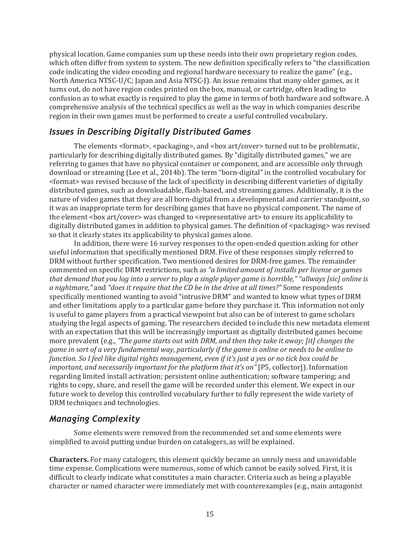physical location. Game companies sum up these needs into their own proprietary region codes, which often differ from system to system. The new definition specifically refers to "the classification code indicating the video encoding and regional hardware necessary to realize the game" (e.g., North America NTSC-U/C; Japan and Asia NTSC-J). An issue remains that many older games, as it turns out, do not have region codes printed on the box, manual, or cartridge, often leading to confusion as to what exactly is required to play the game in terms of both hardware and software. A comprehensive analysis of the technical specifics as well as the way in which companies describe region in their own games must be performed to create a useful controlled vocabulary.

#### *Issues in Describing Digitally Distributed Games*

The elements  $\langle$  format>,  $\langle$  spackaging>, and  $\langle$  box art/cover> turned out to be problematic, particularly for describing digitally distributed games. By "digitally distributed games," we are referring to games that have no physical container or component, and are accessible only through download or streaming (Lee et al., 2014b). The term "born-digital" in the controlled vocabulary for <format> was revised because of the lack of specificity in describing different varieties of digitally distributed games, such as downloadable, flash-based, and streaming games. Additionally, it is the nature of video games that they are all born-digital from a developmental and carrier standpoint, so it was an inappropriate term for describing games that have no physical component. The name of the element <br/>box art/cover> was changed to <representative art> to ensure its applicability to digitally distributed games in addition to physical games. The definition of  $\langle$  packaging> was revised so that it clearly states its applicability to physical games alone.

In addition, there were 16 survey responses to the open-ended question asking for other useful information that specifically mentioned DRM. Five of these responses simply referred to DRM without further specification. Two mentioned desires for DRM-free games. The remainder commented on specific DRM restrictions, such as *"a limited amount of installs per license or games that demand that you log into a server to play a single player game is horrible," "allways [sic] online is a nightmare,"* and *"does it require that the CD be in the drive at all times?"* Some respondents specifically mentioned wanting to avoid "intrusive DRM" and wanted to know what types of DRM and other limitations apply to a particular game before they purchase it. This information not only is useful to game players from a practical viewpoint but also can be of interest to game scholars studying the legal aspects of gaming. The researchers decided to include this new metadata element with an expectation that this will be increasingly important as digitally distributed games become more prevalent (e.g., *"The game starts out with DRM, and then they take it away; [it] changes the game in sort of a very fundamental way, particularly if the game is online or needs to be online to function. So I feel like digital rights management, even if it's just a yes or no tick box could be important, and necessarily important for the platform that it's on"* [P5, collector]). Information regarding limited install activation; persistent online authentication; software tampering; and rights to copy, share, and resell the game will be recorded under this element. We expect in our future work to develop this controlled vocabulary further to fully represent the wide variety of DRM techniques and technologies.

## *Managing Complexity*

Some elements were removed from the recommended set and some elements were simplified to avoid putting undue burden on catalogers, as will be explained.

**Characters.** For many catalogers, this element quickly became an unruly mess and unavoidable time expense. Complications were numerous, some of which cannot be easily solved. First, it is difficult to clearly indicate what constitutes a main character. Criteria such as being a playable character or named character were immediately met with counterexamples (e.g., main antagonist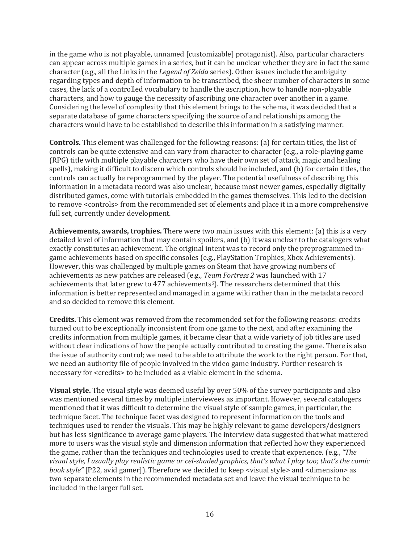in the game who is not playable, unnamed [customizable] protagonist). Also, particular characters can appear across multiple games in a series, but it can be unclear whether they are in fact the same character (e.g., all the Links in the *Legend of Zelda* series). Other issues include the ambiguity regarding types and depth of information to be transcribed, the sheer number of characters in some cases, the lack of a controlled vocabulary to handle the ascription, how to handle non-playable characters, and how to gauge the necessity of ascribing one character over another in a game. Considering the level of complexity that this element brings to the schema, it was decided that a separate database of game characters specifying the source of and relationships among the characters would have to be established to describe this information in a satisfying manner.

**Controls.** This element was challenged for the following reasons: (a) for certain titles, the list of controls can be quite extensive and can vary from character to character (e.g., a role-playing game (RPG) title with multiple playable characters who have their own set of attack, magic and healing spells), making it difficult to discern which controls should be included, and (b) for certain titles, the controls can actually be reprogrammed by the player. The potential usefulness of describing this information in a metadata record was also unclear, because most newer games, especially digitally distributed games, come with tutorials embedded in the games themselves. This led to the decision to remove <controls> from the recommended set of elements and place it in a more comprehensive full set, currently under development.

**Achievements, awards, trophies.** There were two main issues with this element: (a) this is a very detailed level of information that may contain spoilers, and (b) it was unclear to the catalogers what exactly constitutes an achievement. The original intent was to record only the preprogrammed ingame achievements based on specific consoles (e.g., PlayStation Trophies, Xbox Achievements). However, this was challenged by multiple games on Steam that have growing numbers of achievements as new patches are released (e.g., *Team Fortress 2* was launched with 17 achievements that later grew to 477 achievements<sup>6</sup>). The researchers determined that this information is better represented and managed in a game wiki rather than in the metadata record and so decided to remove this element.

**Credits.** This element was removed from the recommended set for the following reasons: credits turned out to be exceptionally inconsistent from one game to the next, and after examining the credits information from multiple games, it became clear that a wide variety of job titles are used without clear indications of how the people actually contributed to creating the game. There is also the issue of authority control; we need to be able to attribute the work to the right person. For that, we need an authority file of people involved in the video game industry. Further research is necessary for <credits> to be included as a viable element in the schema.

**Visual style.** The visual style was deemed useful by over 50% of the survey participants and also was mentioned several times by multiple interviewees as important. However, several catalogers mentioned that it was difficult to determine the visual style of sample games, in particular, the technique facet. The technique facet was designed to represent information on the tools and techniques used to render the visuals. This may be highly relevant to game developers/designers but has less significance to average game players. The interview data suggested that what mattered more to users was the visual style and dimension information that reflected how they experienced the game, rather than the techniques and technologies used to create that experience. (e.g., *"The visual style, I usually play realistic game or cel-shaded graphics, that's what I play too; that's the comic book style"* [P22, avid gamer]). Therefore we decided to keep <visual style> and <dimension> as two separate elements in the recommended metadata set and leave the visual technique to be included in the larger full set.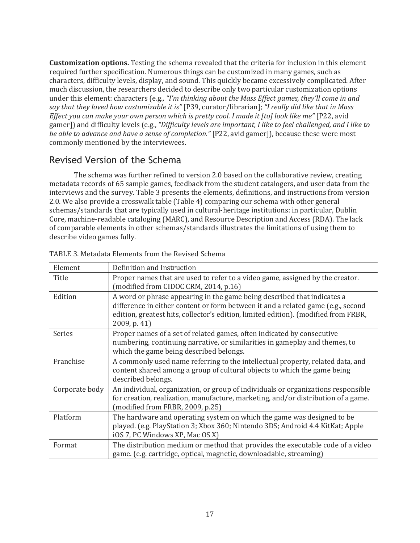**Customization options.** Testing the schema revealed that the criteria for inclusion in this element required further specification. Numerous things can be customized in many games, such as characters, difficulty levels, display, and sound. This quickly became excessively complicated. After much discussion, the researchers decided to describe only two particular customization options under this element: characters (e.g., *"I'm thinking about the Mass Effect games, they'll come in and say that they loved how customizable it is"* [P39, curator/librarian]; *"I really did like that in Mass Effect you can make your own person which is pretty cool. I made it [to] look like me"* [P22, avid gamer]) and difficulty levels (e.g., *"Difficulty levels are important, I like to feel challenged, and I like to be able to advance and have a sense of completion."* [P22, avid gamer]), because these were most commonly mentioned by the interviewees.

## Revised Version of the Schema

The schema was further refined to version 2.0 based on the collaborative review, creating metadata records of 65 sample games, feedback from the student catalogers, and user data from the interviews and the survey. Table 3 presents the elements, definitions, and instructions from version 2.0. We also provide a crosswalk table (Table 4) comparing our schema with other general schemas/standards that are typically used in cultural-heritage institutions: in particular, Dublin Core, machine-readable cataloging (MARC), and Resource Description and Access (RDA). The lack of comparable elements in other schemas/standards illustrates the limitations of using them to describe video games fully.

| Element        | Definition and Instruction                                                                                                                                                                                                                                         |
|----------------|--------------------------------------------------------------------------------------------------------------------------------------------------------------------------------------------------------------------------------------------------------------------|
| Title          | Proper names that are used to refer to a video game, assigned by the creator.<br>(modified from CIDOC CRM, 2014, p.16)                                                                                                                                             |
| Edition        | A word or phrase appearing in the game being described that indicates a<br>difference in either content or form between it and a related game (e.g., second<br>edition, greatest hits, collector's edition, limited edition). (modified from FRBR,<br>2009, p. 41) |
| Series         | Proper names of a set of related games, often indicated by consecutive<br>numbering, continuing narrative, or similarities in gameplay and themes, to<br>which the game being described belongs.                                                                   |
| Franchise      | A commonly used name referring to the intellectual property, related data, and<br>content shared among a group of cultural objects to which the game being<br>described belongs.                                                                                   |
| Corporate body | An individual, organization, or group of individuals or organizations responsible<br>for creation, realization, manufacture, marketing, and/or distribution of a game.<br>(modified from FRBR, 2009, p.25)                                                         |
| Platform       | The hardware and operating system on which the game was designed to be<br>played. (e.g. PlayStation 3; Xbox 360; Nintendo 3DS; Android 4.4 KitKat; Apple<br>iOS 7, PC Windows XP, Mac OS X)                                                                        |
| Format         | The distribution medium or method that provides the executable code of a video<br>game. (e.g. cartridge, optical, magnetic, downloadable, streaming)                                                                                                               |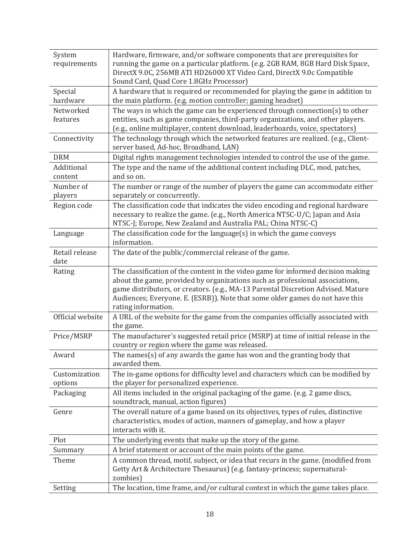| System           | Hardware, firmware, and/or software components that are prerequisites for          |
|------------------|------------------------------------------------------------------------------------|
| requirements     | running the game on a particular platform. (e.g. 2GB RAM, 8GB Hard Disk Space,     |
|                  | DirectX 9.0C, 256MB ATI HD26000 XT Video Card, DirectX 9.0c Compatible             |
|                  | Sound Card, Quad Core 1.8GHz Processor)                                            |
| Special          | A hardware that is required or recommended for playing the game in addition to     |
| hardware         | the main platform. (e.g. motion controller; gaming headset)                        |
| Networked        | The ways in which the game can be experienced through connection( $s$ ) to other   |
| features         | entities, such as game companies, third-party organizations, and other players.    |
|                  | (e.g., online multiplayer, content download, leaderboards, voice, spectators)      |
| Connectivity     | The technology through which the networked features are realized. (e.g., Client-   |
|                  | server based, Ad-hoc, Broadband, LAN)                                              |
| <b>DRM</b>       | Digital rights management technologies intended to control the use of the game.    |
| Additional       | The type and the name of the additional content including DLC, mod, patches,       |
| content          | and so on.                                                                         |
| Number of        | The number or range of the number of players the game can accommodate either       |
| players          | separately or concurrently.                                                        |
| Region code      | The classification code that indicates the video encoding and regional hardware    |
|                  | necessary to realize the game. (e.g., North America NTSC-U/C; Japan and Asia       |
|                  | NTSC-J; Europe, New Zealand and Australia PAL; China NTSC-C)                       |
| Language         | The classification code for the language(s) in which the game conveys              |
|                  | information.                                                                       |
| Retail release   | The date of the public/commercial release of the game.                             |
| date             |                                                                                    |
| Rating           | The classification of the content in the video game for informed decision making   |
|                  | about the game, provided by organizations such as professional associations,       |
|                  | game distributors, or creators. (e.g., MA-13 Parental Discretion Advised. Mature   |
|                  | Audiences; Everyone. E. (ESRB)). Note that some older games do not have this       |
|                  | rating information.                                                                |
| Official website | A URL of the website for the game from the companies officially associated with    |
|                  | the game.                                                                          |
| Price/MSRP       | The manufacturer's suggested retail price (MSRP) at time of initial release in the |
|                  | country or region where the game was released.                                     |
| Award            | The names(s) of any awards the game has won and the granting body that             |
|                  | awarded them.                                                                      |
| Customization    | The in-game options for difficulty level and characters which can be modified by   |
| options          | the player for personalized experience.                                            |
| Packaging        | All items included in the original packaging of the game. (e.g. 2 game discs,      |
|                  | soundtrack, manual, action figures)                                                |
| Genre            | The overall nature of a game based on its objectives, types of rules, distinctive  |
|                  | characteristics, modes of action, manners of gameplay, and how a player            |
|                  | interacts with it.                                                                 |
| Plot             | The underlying events that make up the story of the game.                          |
| Summary          | A brief statement or account of the main points of the game.                       |
| Theme            | A common thread, motif, subject, or idea that recurs in the game. (modified from   |
|                  | Getty Art & Architecture Thesaurus) (e.g. fantasy-princess; supernatural-          |
|                  | zombies)                                                                           |
| Setting          | The location, time frame, and/or cultural context in which the game takes place.   |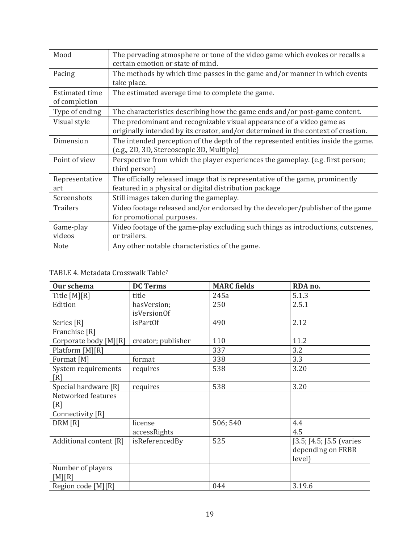| Mood                            | The pervading atmosphere or tone of the video game which evokes or recalls a<br>certain emotion or state of mind.                                          |
|---------------------------------|------------------------------------------------------------------------------------------------------------------------------------------------------------|
| Pacing                          | The methods by which time passes in the game and/or manner in which events<br>take place.                                                                  |
| Estimated time<br>of completion | The estimated average time to complete the game.                                                                                                           |
| Type of ending                  | The characteristics describing how the game ends and/or post-game content.                                                                                 |
| Visual style                    | The predominant and recognizable visual appearance of a video game as<br>originally intended by its creator, and/or determined in the context of creation. |
| Dimension                       | The intended perception of the depth of the represented entities inside the game.<br>(e.g., 2D, 3D, Stereoscopic 3D, Multiple)                             |
| Point of view                   | Perspective from which the player experiences the gameplay. (e.g. first person;<br>third person)                                                           |
| Representative<br>art           | The officially released image that is representative of the game, prominently<br>featured in a physical or digital distribution package                    |
| Screenshots                     | Still images taken during the gameplay.                                                                                                                    |
| <b>Trailers</b>                 | Video footage released and/or endorsed by the developer/publisher of the game<br>for promotional purposes.                                                 |
| Game-play<br>videos             | Video footage of the game-play excluding such things as introductions, cutscenes,<br>or trailers.                                                          |
| Note                            | Any other notable characteristics of the game.                                                                                                             |

#### TABLE 4. Metadata Crosswalk Table<sup>7</sup>

| Our schema             | <b>DC Terms</b>    | <b>MARC</b> fields | RDA no.                  |
|------------------------|--------------------|--------------------|--------------------------|
| Title [M][R]           | title              | 245a               | 5.1.3                    |
| Edition                | hasVersion;        | 250                | 2.5.1                    |
|                        | isVersionOf        |                    |                          |
| Series [R]             | isPartOf           | 490                | 2.12                     |
| Franchise [R]          |                    |                    |                          |
| Corporate body [M][R]  | creator; publisher | 110                | 11.2                     |
| Platform [M][R]        |                    | 337                | 3.2                      |
| Format [M]             | format             | 338                | 3.3                      |
| System requirements    | requires           | 538                | 3.20                     |
| [R]                    |                    |                    |                          |
| Special hardware [R]   | requires           | 538                | 3.20                     |
| Networked features     |                    |                    |                          |
| [R]                    |                    |                    |                          |
| Connectivity [R]       |                    |                    |                          |
| DRM [R]                | license            | 506; 540           | 4.4                      |
|                        | accessRights       |                    | 4.5                      |
| Additional content [R] | isReferencedBy     | 525                | [3.5; [4.5; [5.5 (varies |
|                        |                    |                    | depending on FRBR        |
|                        |                    |                    | level)                   |
| Number of players      |                    |                    |                          |
| [M][R]                 |                    |                    |                          |
| Region code [M][R]     |                    | 044                | 3.19.6                   |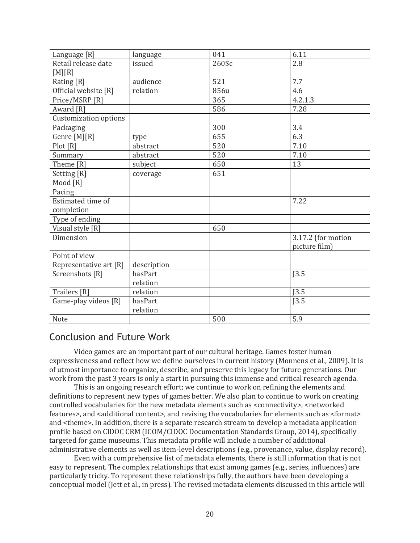| Language [R]           | language    | 041    | 6.11               |
|------------------------|-------------|--------|--------------------|
| Retail release date    | issued      | 260\$c | 2.8                |
| [M][R]                 |             |        |                    |
| Rating [R]             | audience    | 521    | 7.7                |
| Official website [R]   | relation    | 856u   | 4.6                |
| Price/MSRP [R]         |             | 365    | 4.2.1.3            |
| Award [R]              |             | 586    | 7.28               |
| Customization options  |             |        |                    |
| Packaging              |             | 300    | 3.4                |
| Genre [M][R]           | type        | 655    | 6.3                |
| Plot[R]                | abstract    | 520    | 7.10               |
| Summary                | abstract    | 520    | 7.10               |
| Theme [R]              | subject     | 650    | 13                 |
| Setting [R]            | coverage    | 651    |                    |
| Mood [R]               |             |        |                    |
| Pacing                 |             |        |                    |
| Estimated time of      |             |        | 7.22               |
| completion             |             |        |                    |
| Type of ending         |             |        |                    |
| Visual style [R]       |             | 650    |                    |
| Dimension              |             |        | 3.17.2 (for motion |
|                        |             |        | picture film)      |
| Point of view          |             |        |                    |
| Representative art [R] | description |        |                    |
| Screenshots [R]        | hasPart     |        | J3.5               |
|                        | relation    |        |                    |
| Trailers [R]           | relation    |        | J3.5               |
| Game-play videos [R]   | hasPart     |        | J3.5               |
|                        | relation    |        |                    |
| Note                   |             | 500    | 5.9                |

## Conclusion and Future Work

Video games are an important part of our cultural heritage. Games foster human expressiveness and reflect how we define ourselves in current history (Monnens et al., 2009). It is of utmost importance to organize, describe, and preserve this legacy for future generations. Our work from the past 3 years is only a start in pursuing this immense and critical research agenda.

This is an ongoing research effort; we continue to work on refining the elements and definitions to represent new types of games better. We also plan to continue to work on creating controlled vocabularies for the new metadata elements such as <connectivity>, <networked features>, and <additional content>, and revising the vocabularies for elements such as <format> and <theme>. In addition, there is a separate research stream to develop a metadata application profile based on CIDOC CRM (ICOM/CIDOC Documentation Standards Group, 2014), specifically targeted for game museums. This metadata profile will include a number of additional administrative elements as well as item-level descriptions (e.g., provenance, value, display record).

Even with a comprehensive list of metadata elements, there is still information that is not easy to represent. The complex relationships that exist among games (e.g., series, influences) are particularly tricky. To represent these relationships fully, the authors have been developing a conceptual model (Jett et al., in press). The revised metadata elements discussed in this article will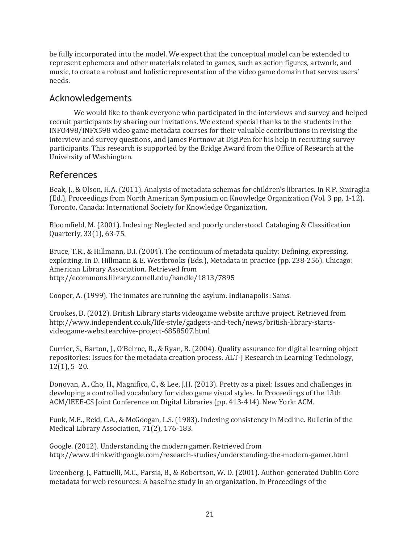be fully incorporated into the model. We expect that the conceptual model can be extended to represent ephemera and other materials related to games, such as action figures, artwork, and music, to create a robust and holistic representation of the video game domain that serves users' needs.

## Acknowledgements

We would like to thank everyone who participated in the interviews and survey and helped recruit participants by sharing our invitations. We extend special thanks to the students in the INFO498/INFX598 video game metadata courses for their valuable contributions in revising the interview and survey questions, and James Portnow at DigiPen for his help in recruiting survey participants. This research is supported by the Bridge Award from the Office of Research at the University of Washington.

## References

Beak, J., & Olson, H.A. (2011). Analysis of metadata schemas for children's libraries. In R.P. Smiraglia (Ed.), Proceedings from North American Symposium on Knowledge Organization (Vol. 3 pp. 1-12). Toronto, Canada: International Society for Knowledge Organization.

Bloomfield, M. (2001). Indexing: Neglected and poorly understood. Cataloging & Classification Quarterly, 33(1), 63-75.

Bruce, T.R., & Hillmann, D.I. (2004). The continuum of metadata quality: Defining, expressing, exploiting. In D. Hillmann & E. Westbrooks (Eds.), Metadata in practice (pp. 238-256). Chicago: American Library Association. Retrieved from http://ecommons.library.cornell.edu/handle/1813/7895

Cooper, A. (1999). The inmates are running the asylum. Indianapolis: Sams.

Crookes, D. (2012). British Library starts videogame website archive project. Retrieved from http://www.independent.co.uk/life-style/gadgets-and-tech/news/british-library-startsvideogame-websitearchive-project-6858507.html

Currier, S., Barton, J., O'Beirne, R., & Ryan, B. (2004). Quality assurance for digital learning object repositories: Issues for the metadata creation process. ALT-J Research in Learning Technology, 12(1), 5–20.

Donovan, A., Cho, H., Magnifico, C., & Lee, J.H. (2013). Pretty as a pixel: Issues and challenges in developing a controlled vocabulary for video game visual styles. In Proceedings of the 13th ACM/IEEE-CS Joint Conference on Digital Libraries (pp. 413-414). New York: ACM.

Funk, M.E., Reid, C.A., & McGoogan, L.S. (1983). Indexing consistency in Medline. Bulletin of the Medical Library Association, 71(2), 176-183.

Google. (2012). Understanding the modern gamer. Retrieved from http://www.thinkwithgoogle.com/research-studies/understanding-the-modern-gamer.html

Greenberg, J., Pattuelli, M.C., Parsia, B., & Robertson, W. D. (2001). Author-generated Dublin Core metadata for web resources: A baseline study in an organization. In Proceedings of the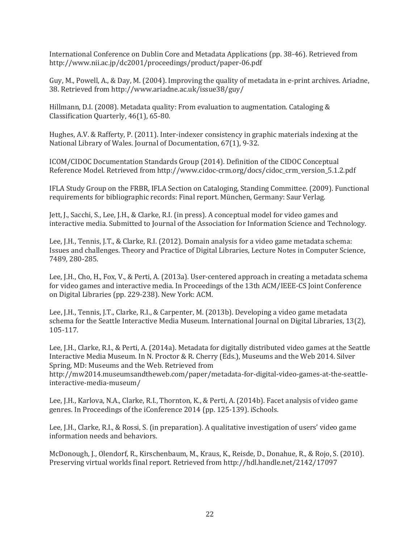International Conference on Dublin Core and Metadata Applications (pp. 38-46). Retrieved from http://www.nii.ac.jp/dc2001/proceedings/product/paper-06.pdf

Guy, M., Powell, A., & Day, M. (2004). Improving the quality of metadata in e-print archives. Ariadne, 38. Retrieved from http://www.ariadne.ac.uk/issue38/guy/

Hillmann, D.I. (2008). Metadata quality: From evaluation to augmentation. Cataloging & Classification Quarterly, 46(1), 65-80.

Hughes, A.V. & Rafferty, P. (2011). Inter-indexer consistency in graphic materials indexing at the National Library of Wales. Journal of Documentation, 67(1), 9-32.

ICOM/CIDOC Documentation Standards Group (2014). Definition of the CIDOC Conceptual Reference Model. Retrieved from http://www.cidoc-crm.org/docs/cidoc\_crm\_version\_5.1.2.pdf

IFLA Study Group on the FRBR, IFLA Section on Cataloging, Standing Committee. (2009). Functional requirements for bibliographic records: Final report. München, Germany: Saur Verlag.

Jett, J., Sacchi, S., Lee, J.H., & Clarke, R.I. (in press). A conceptual model for video games and interactive media. Submitted to Journal of the Association for Information Science and Technology.

Lee, J.H., Tennis, J.T., & Clarke, R.I. (2012). Domain analysis for a video game metadata schema: Issues and challenges. Theory and Practice of Digital Libraries, Lecture Notes in Computer Science, 7489, 280-285.

Lee, J.H., Cho, H., Fox, V., & Perti, A. (2013a). User-centered approach in creating a metadata schema for video games and interactive media. In Proceedings of the 13th ACM/IEEE-CS Joint Conference on Digital Libraries (pp. 229-238). New York: ACM.

Lee, J.H., Tennis, J.T., Clarke, R.I., & Carpenter, M. (2013b). Developing a video game metadata schema for the Seattle Interactive Media Museum. International Journal on Digital Libraries, 13(2), 105-117.

Lee, J.H., Clarke, R.I., & Perti, A. (2014a). Metadata for digitally distributed video games at the Seattle Interactive Media Museum. In N. Proctor & R. Cherry (Eds.), Museums and the Web 2014. Silver Spring, MD: Museums and the Web. Retrieved from http://mw2014.museumsandtheweb.com/paper/metadata-for-digital-video-games-at-the-seattle-

interactive-media-museum/

Lee, J.H., Karlova, N.A., Clarke, R.I., Thornton, K., & Perti, A. (2014b). Facet analysis of video game genres. In Proceedings of the iConference 2014 (pp. 125-139). iSchools.

Lee, J.H., Clarke, R.I., & Rossi, S. (in preparation). A qualitative investigation of users' video game information needs and behaviors.

McDonough, J., Olendorf, R., Kirschenbaum, M., Kraus, K., Reisde, D., Donahue, R., & Rojo, S. (2010). Preserving virtual worlds final report. Retrieved from http://hdl.handle.net/2142/17097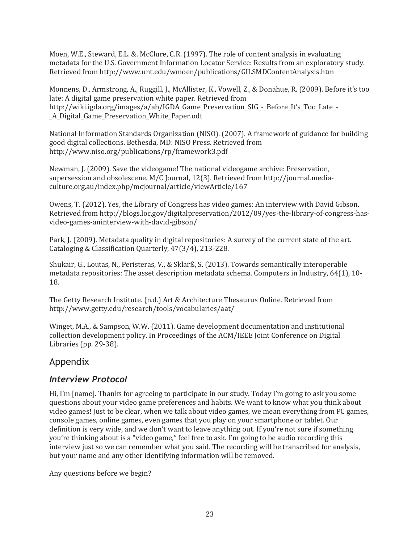Moen, W.E., Steward, E.L. &. McClure, C.R. (1997). The role of content analysis in evaluating metadata for the U.S. Government Information Locator Service: Results from an exploratory study. Retrieved from http://www.unt.edu/wmoen/publications/GILSMDContentAnalysis.htm

Monnens, D., Armstrong, A., Ruggill, J., McAllister, K., Vowell, Z., & Donahue, R. (2009). Before it's too late: A digital game preservation white paper. Retrieved from http://wiki.igda.org/images/a/ab/IGDA\_Game\_Preservation\_SIG\_-\_Before\_It's\_Too\_Late\_-\_A\_Digital\_Game\_Preservation\_White\_Paper.odt

National Information Standards Organization (NISO). (2007). A framework of guidance for building good digital collections. Bethesda, MD: NISO Press. Retrieved from http://www.niso.org/publications/rp/framework3.pdf

Newman, J. (2009). Save the videogame! The national videogame archive: Preservation, supersession and obsolescene. M/C Journal, 12(3). Retrieved from http://journal.mediaculture.org.au/index.php/mcjournal/article/viewArticle/167

Owens, T. (2012). Yes, the Library of Congress has video games: An interview with David Gibson. Retrieved from http://blogs.loc.gov/digitalpreservation/2012/09/yes-the-library-of-congress-hasvideo-games-aninterview-with-david-gibson/

Park, J. (2009). Metadata quality in digital repositories: A survey of the current state of the art. Cataloging & Classification Quarterly, 47(3/4), 213-228.

Shukair, G., Loutas, N., Peristeras, V., & Sklarß, S. (2013). Towards semantically interoperable metadata repositories: The asset description metadata schema. Computers in Industry, 64(1), 10- 18.

The Getty Research Institute. (n.d.) Art & Architecture Thesaurus Online. Retrieved from http://www.getty.edu/research/tools/vocabularies/aat/

Winget, M.A., & Sampson, W.W. (2011). Game development documentation and institutional collection development policy. In Proceedings of the ACM/IEEE Joint Conference on Digital Libraries (pp. 29-38).

## Appendix

#### *Interview Protocol*

Hi, I'm [name]. Thanks for agreeing to participate in our study. Today I'm going to ask you some questions about your video game preferences and habits. We want to know what you think about video games! Just to be clear, when we talk about video games, we mean everything from PC games, console games, online games, even games that you play on your smartphone or tablet. Our definition is very wide, and we don't want to leave anything out. If you're not sure if something you're thinking about is a "video game," feel free to ask. I'm going to be audio recording this interview just so we can remember what you said. The recording will be transcribed for analysis, but your name and any other identifying information will be removed.

Any questions before we begin?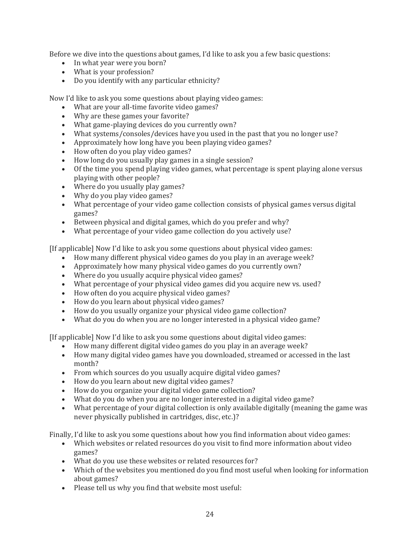Before we dive into the questions about games, I'd like to ask you a few basic questions:

- In what year were you born?
- What is your profession?
- Do you identify with any particular ethnicity?

Now I'd like to ask you some questions about playing video games:

- What are your all-time favorite video games?
- Why are these games your favorite?
- What game-playing devices do you currently own?
- What systems/consoles/devices have you used in the past that you no longer use?
- Approximately how long have you been playing video games?
- How often do you play video games?
- How long do you usually play games in a single session?
- Of the time you spend playing video games, what percentage is spent playing alone versus playing with other people?
- Where do you usually play games?
- Why do you play video games?
- What percentage of your video game collection consists of physical games versus digital games?
- Between physical and digital games, which do you prefer and why?
- What percentage of your video game collection do you actively use?

[If applicable] Now I'd like to ask you some questions about physical video games:

- How many different physical video games do you play in an average week?
- Approximately how many physical video games do you currently own?
- Where do you usually acquire physical video games?
- What percentage of your physical video games did you acquire new vs. used?
- How often do you acquire physical video games?
- How do you learn about physical video games?
- How do you usually organize your physical video game collection?
- What do you do when you are no longer interested in a physical video game?

[If applicable] Now I'd like to ask you some questions about digital video games:

- How many different digital video games do you play in an average week?
- How many digital video games have you downloaded, streamed or accessed in the last month?
- From which sources do you usually acquire digital video games?
- How do you learn about new digital video games?
- How do you organize your digital video game collection?
- What do you do when you are no longer interested in a digital video game?
- What percentage of your digital collection is only available digitally (meaning the game was never physically published in cartridges, disc, etc.)?

Finally, I'd like to ask you some questions about how you find information about video games:

- Which websites or related resources do you visit to find more information about video games?
- What do you use these websites or related resources for?
- Which of the websites you mentioned do you find most useful when looking for information about games?
- Please tell us why you find that website most useful: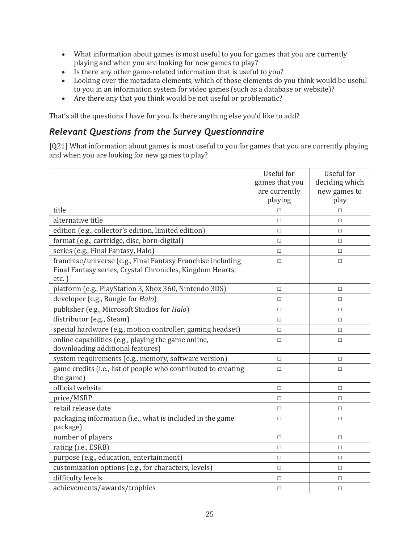- What information about games is most useful to you for games that you are currently playing and when you are looking for new games to play?
- Is there any other game-related information that is useful to you?
- Looking over the metadata elements, which of those elements do you think would be useful to you in an information system for video games (such as a database or website)?
- Are there any that you think would be not useful or problematic?

That's all the questions I have for you. Is there anything else you'd like to add?

#### *Relevant Questions from the Survey Questionnaire*

[Q21] What information about games is most useful to you for games that you are currently playing and when you are looking for new games to play?

|                                                                                                                                      | Useful for<br>games that you<br>are currently<br>playing | Useful for<br>deciding which<br>new games to<br>play |
|--------------------------------------------------------------------------------------------------------------------------------------|----------------------------------------------------------|------------------------------------------------------|
| title                                                                                                                                | $\Box$                                                   | $\Box$                                               |
| alternative title                                                                                                                    | $\Box$                                                   | $\Box$                                               |
| edition (e.g., collector's edition, limited edition)                                                                                 | $\Box$                                                   | $\Box$                                               |
| format (e.g., cartridge, disc, born-digital)                                                                                         | П                                                        | $\Box$                                               |
| series (e.g., Final Fantasy, Halo)                                                                                                   | $\Box$                                                   | $\Box$                                               |
| franchise/universe (e.g., Final Fantasy Franchise including<br>Final Fantasy series, Crystal Chronicles, Kingdom Hearts,<br>$etc.$ ) | $\Box$                                                   | $\Box$                                               |
| platform (e.g., PlayStation 3, Xbox 360, Nintendo 3DS)                                                                               | $\Box$                                                   | $\Box$                                               |
| developer (e.g., Bungie for Halo)                                                                                                    | $\Box$                                                   | $\Box$                                               |
| publisher (e.g., Microsoft Studios for Halo)                                                                                         | $\Box$                                                   | $\Box$                                               |
| distributor (e.g., Steam)                                                                                                            | $\Box$                                                   | $\Box$                                               |
| special hardware (e.g., motion controller, gaming headset)                                                                           | $\Box$                                                   | $\Box$                                               |
| online capabilities (e.g., playing the game online,<br>downloading additional features)                                              | $\Box$                                                   | $\Box$                                               |
| system requirements (e.g., memory, software version)                                                                                 | $\Box$                                                   | $\Box$                                               |
| game credits (i.e., list of people who contributed to creating<br>the game)                                                          | $\Box$                                                   | $\Box$                                               |
| official website                                                                                                                     | $\Box$                                                   | $\Box$                                               |
| price/MSRP                                                                                                                           | $\Box$                                                   | $\Box$                                               |
| retail release date                                                                                                                  | $\Box$                                                   | $\Box$                                               |
| packaging information (i.e., what is included in the game<br>package)                                                                | $\Box$                                                   | $\Box$                                               |
| number of players                                                                                                                    | $\Box$                                                   | $\Box$                                               |
| rating (i.e., ESRB)                                                                                                                  | $\Box$                                                   | $\Box$                                               |
| purpose (e.g., education, entertainment)                                                                                             | $\Box$                                                   | $\Box$                                               |
| customization options (e.g., for characters, levels)                                                                                 | $\Box$                                                   | $\Box$                                               |
| difficulty levels                                                                                                                    | $\Box$                                                   | $\Box$                                               |
| achievements/awards/trophies                                                                                                         | $\Box$                                                   | $\Box$                                               |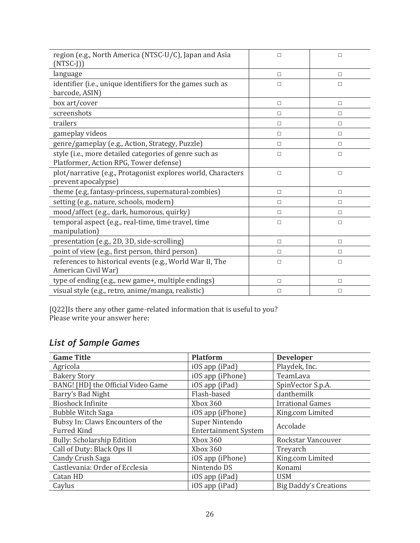| region (e.g., North America (NTSC-U/C), Japan and Asia<br>$(NTSC-J))$                            | $\Box$ | $\Box$ |
|--------------------------------------------------------------------------------------------------|--------|--------|
| language                                                                                         | П      | П      |
| identifier (i.e., unique identifiers for the games such as<br>barcode, ASIN)                     | $\Box$ | $\Box$ |
| box art/cover                                                                                    | $\Box$ | $\Box$ |
| screenshots                                                                                      | п      | П      |
| trailers                                                                                         | □      | □      |
| gameplay videos                                                                                  | П      | $\Box$ |
| genre/gameplay (e.g., Action, Strategy, Puzzle)                                                  | П      | $\Box$ |
| style (i.e., more detailed categories of genre such as<br>Platformer, Action RPG, Tower defense) | $\Box$ | $\Box$ |
| plot/narrative (e.g., Protagonist explores world, Characters<br>prevent apocalypse)              | $\Box$ | $\Box$ |
| theme (e.g, fantasy-princess, supernatural-zombies)                                              | $\Box$ | $\Box$ |
| setting (e.g., nature, schools, modern)                                                          | $\Box$ | П      |
| mood/affect (e.g., dark, humorous, quirky)                                                       | П      | $\Box$ |
| temporal aspect (e.g., real-time, time travel, time<br>manipulation)                             | $\Box$ | $\Box$ |
| presentation (e.g., 2D, 3D, side-scrolling)                                                      | $\Box$ | П      |
| point of view (e.g., first person, third person)                                                 | п      | П      |
| references to historical events (e.g., World War II, The<br>American Civil War)                  | $\Box$ | $\Box$ |
| type of ending (e.g., new game+, multiple endings)                                               | $\Box$ | $\Box$ |
| visual style (e.g., retro, anime/manga, realistic)                                               | $\Box$ | $\Box$ |

[Q22]Is there any other game-related information that is useful to you? Please write your answer here:

## *List of Sample Games*

| <b>Game Title</b>                  | <b>Platform</b>             | <b>Developer</b>             |  |
|------------------------------------|-----------------------------|------------------------------|--|
| Agricola                           | iOS app (iPad)              | Playdek, Inc.                |  |
| <b>Bakery Story</b>                | iOS app (iPhone)            | TeamLava                     |  |
| BANG! [HD] the Official Video Game | iOS app (iPad)              | SpinVector S.p.A.            |  |
| Barry's Bad Night                  | Flash-based                 | danthemilk                   |  |
| <b>Bioshock Infinite</b>           | Xbox 360                    | <b>Irrational Games</b>      |  |
| <b>Bubble Witch Saga</b>           | iOS app (iPhone)            | King.com Limited             |  |
| Bubsy In: Claws Encounters of the  | Super Nintendo              | Accolade                     |  |
| <b>Furred Kind</b>                 | <b>Entertainment System</b> |                              |  |
| <b>Bully: Scholarship Edition</b>  | Xbox 360                    | Rockstar Vancouver           |  |
| Call of Duty: Black Ops II         | Xbox 360                    | Treyarch                     |  |
| Candy Crush Saga                   | iOS app (iPhone)            | King.com Limited             |  |
| Castlevania: Order of Ecclesia     | Nintendo DS                 | Konami                       |  |
| Catan HD                           | iOS app (iPad)              | <b>USM</b>                   |  |
| Caylus                             | iOS app (iPad)              | <b>Big Daddy's Creations</b> |  |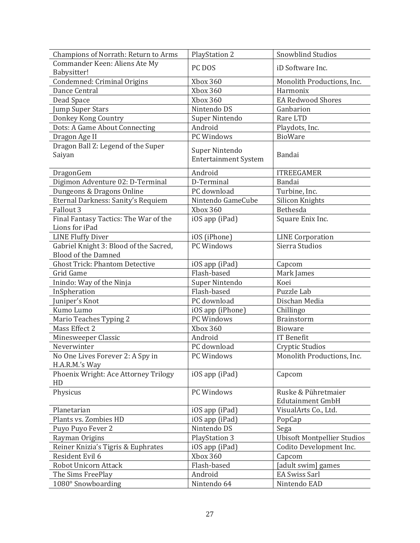| Champions of Norrath: Return to Arms   | <b>PlayStation 2</b>                          | Snowblind Studios                  |
|----------------------------------------|-----------------------------------------------|------------------------------------|
| Commander Keen: Aliens Ate My          |                                               |                                    |
| Babysitter!                            | iD Software Inc.<br>PC DOS                    |                                    |
| Condemned: Criminal Origins            | Xbox 360                                      | Monolith Productions, Inc.         |
| Dance Central                          | Xbox 360                                      | Harmonix                           |
| Dead Space                             | Xbox 360                                      | <b>EA Redwood Shores</b>           |
| <b>Jump Super Stars</b>                | Nintendo DS                                   | Ganbarion                          |
| Donkey Kong Country                    | Super Nintendo                                | Rare LTD                           |
| Dots: A Game About Connecting          | Android                                       | Playdots, Inc.                     |
| Dragon Age II                          | PC Windows                                    | <b>BioWare</b>                     |
| Dragon Ball Z: Legend of the Super     |                                               |                                    |
| Saiyan                                 | Super Nintendo<br><b>Entertainment System</b> | Bandai                             |
|                                        |                                               |                                    |
| DragonGem                              | Android                                       | <b>ITREEGAMER</b>                  |
| Digimon Adventure 02: D-Terminal       | D-Terminal                                    | Bandai                             |
| Dungeons & Dragons Online              | PC download                                   | Turbine, Inc.                      |
| Eternal Darkness: Sanity's Requiem     | Nintendo GameCube                             | <b>Silicon Knights</b>             |
| Fallout 3                              | Xbox 360                                      | Bethesda                           |
| Final Fantasy Tactics: The War of the  | iOS app (iPad)                                | Square Enix Inc.                   |
| Lions for iPad                         |                                               |                                    |
| <b>LINE Fluffy Diver</b>               | iOS (iPhone)                                  | <b>LINE Corporation</b>            |
| Gabriel Knight 3: Blood of the Sacred, | PC Windows                                    | Sierra Studios                     |
| <b>Blood of the Damned</b>             |                                               |                                    |
| <b>Ghost Trick: Phantom Detective</b>  | iOS app (iPad)                                | Capcom                             |
| Grid Game                              | Flash-based                                   | Mark James                         |
| Inindo: Way of the Ninja               | Super Nintendo                                | Koei                               |
| InSpheration                           | Flash-based                                   | Puzzle Lab                         |
| Juniper's Knot                         | PC download                                   | Dischan Media                      |
| Kumo Lumo                              | iOS app (iPhone)                              | Chillingo                          |
| Mario Teaches Typing 2                 | PC Windows                                    | <b>Brainstorm</b>                  |
| Mass Effect 2                          | Xbox 360                                      | Bioware                            |
| Minesweeper Classic                    | Android                                       | <b>IT Benefit</b>                  |
| Neverwinter                            | PC download                                   | Cryptic Studios                    |
| No One Lives Forever 2: A Spy in       | PC Windows                                    | Monolith Productions, Inc.         |
| H.A.R.M.'s Way                         |                                               |                                    |
| Phoenix Wright: Ace Attorney Trilogy   | iOS app (iPad)                                | Capcom                             |
| HD                                     |                                               |                                    |
| Physicus                               | PC Windows                                    | Ruske & Pühretmaier                |
|                                        |                                               | <b>Edutainment GmbH</b>            |
| Planetarian                            | iOS app (iPad)                                | VisualArts Co., Ltd.               |
| Plants vs. Zombies HD                  | iOS app (iPad)                                | PopCap                             |
| Puyo Puyo Fever 2                      | Nintendo DS                                   | Sega                               |
| Rayman Origins                         | <b>PlayStation 3</b>                          | <b>Ubisoft Montpellier Studios</b> |
| Reiner Knizia's Tigris & Euphrates     | iOS app (iPad)                                | Codito Development Inc.            |
| Resident Evil 6                        | Xbox 360                                      | Capcom                             |
| Robot Unicorn Attack                   | Flash-based                                   | [adult swim] games                 |
| The Sims FreePlay                      | Android                                       | <b>EA Swiss Sarl</b>               |
| 1080° Snowboarding                     | Nintendo 64                                   | Nintendo EAD                       |